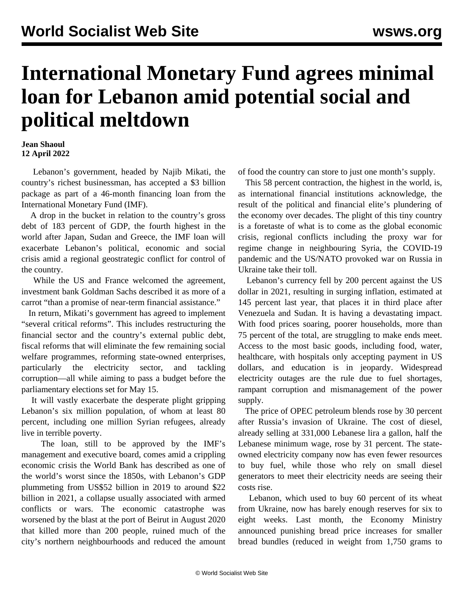## **International Monetary Fund agrees minimal loan for Lebanon amid potential social and political meltdown**

## **Jean Shaoul 12 April 2022**

 Lebanon's government, headed by Najib Mikati, the country's richest businessman, has accepted a \$3 billion package as part of a 46-month financing loan from the International Monetary Fund (IMF).

 A drop in the bucket in relation to the country's gross debt of 183 percent of GDP, the fourth highest in the world after Japan, Sudan and Greece, the IMF loan will exacerbate Lebanon's political, economic and social crisis amid a regional geostrategic conflict for control of the country.

 While the US and France welcomed the agreement, investment bank Goldman Sachs described it as more of a carrot "than a promise of near-term financial assistance."

 In return, Mikati's government has agreed to implement "several critical reforms". This includes restructuring the financial sector and the country's external public debt, fiscal reforms that will eliminate the few remaining social welfare programmes, reforming state-owned enterprises, particularly the electricity sector, and tackling corruption—all while aiming to pass a budget before the parliamentary elections set for May 15.

 It will vastly exacerbate the desperate plight gripping Lebanon's six million population, of whom at least 80 percent, including one million Syrian refugees, already live in terrible poverty.

 The loan, still to be approved by the IMF's management and executive board, comes amid a crippling economic crisis the World Bank has described as one of the world's worst since the 1850s, with Lebanon's GDP plummeting from US\$52 billion in 2019 to around \$22 billion in 2021, a collapse usually associated with armed conflicts or wars. The economic catastrophe was worsened by the blast at the port of Beirut in August 2020 that killed more than 200 people, ruined much of the city's northern neighbourhoods and reduced the amount

of food the country can store to just one month's supply.

 This 58 percent contraction, the highest in the world, is, as international financial institutions acknowledge, the result of the political and financial elite's plundering of the economy over decades. The plight of this tiny country is a foretaste of what is to come as the global economic crisis, regional conflicts including the proxy war for regime change in neighbouring Syria, the COVID-19 pandemic and the US/NATO provoked war on Russia in Ukraine take their toll.

 Lebanon's currency fell by 200 percent against the US dollar in 2021, resulting in surging inflation, estimated at 145 percent last year, that places it in third place after Venezuela and Sudan. It is having a devastating impact. With food prices soaring, poorer households, more than 75 percent of the total, are struggling to make ends meet. Access to the most basic goods, including food, water, healthcare, with hospitals only accepting payment in US dollars, and education is in jeopardy. Widespread electricity outages are the rule due to fuel shortages, rampant corruption and mismanagement of the power supply.

 The price of OPEC petroleum blends rose by 30 percent after Russia's invasion of Ukraine. The cost of diesel, already selling at 331,000 Lebanese lira a gallon, half the Lebanese minimum wage, rose by 31 percent. The stateowned electricity company now has even fewer resources to buy fuel, while those who rely on small diesel generators to meet their electricity needs are seeing their costs rise.

 Lebanon, which used to buy 60 percent of its wheat from Ukraine, now has barely enough reserves for six to eight weeks. Last month, the Economy Ministry announced punishing bread price increases for smaller bread bundles (reduced in weight from 1,750 grams to